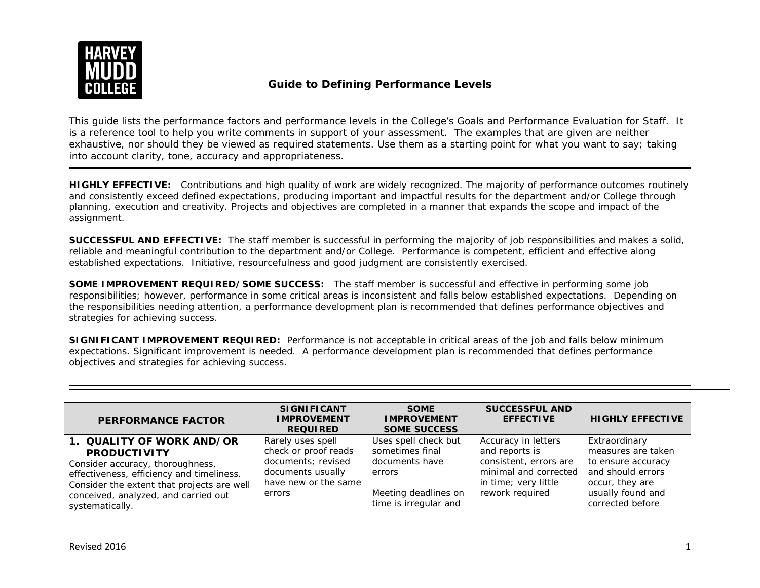

## **Guide to Defining Performance Levels**

This guide lists the performance factors and performance levels in the College's *Goals and Performance Evaluation for Staff*. It is a reference tool to help you write comments in support of your assessment. The examples that are given are neither exhaustive, nor should they be viewed as required statements. Use them as a starting point for what you want to say; taking into account clarity, tone, accuracy and appropriateness.

**HIGHLY EFFECTIVE:** Contributions and high quality of work are widely recognized. The majority of performance outcomes routinely and consistently exceed defined expectations, producing important and impactful results for the department and/or College through planning, execution and creativity. Projects and objectives are completed in a manner that expands the scope and impact of the assignment.

**SUCCESSFUL AND EFFECTIVE:** The staff member is successful in performing the majority of job responsibilities and makes a solid, reliable and meaningful contribution to the department and/or College. Performance is competent, efficient and effective along established expectations. Initiative, resourcefulness and good judgment are consistently exercised.

**SOME IMPROVEMENT REQUIRED/SOME SUCCESS:** The staff member is successful and effective in performing some job responsibilities; however, performance in some critical areas is inconsistent and falls below established expectations. *Depending on the responsibilities needing attention, a performance development plan is recommended that defines performance objectives and strategies for achieving success.*

**SIGNIFICANT IMPROVEMENT REQUIRED:** Performance is not acceptable in critical areas of the job and falls below minimum expectations. Significant improvement is needed. *A performance development plan is recommended that defines performance objectives and strategies for achieving success.*

| <b>PERFORMANCE FACTOR</b>                                                                                                                                                                                                                  | <b>SIGNIFICANT</b><br><b>IMPROVEMENT</b><br><b>REQUIRED</b>                                                            | <b>SOME</b><br><b>IMPROVEMENT</b><br><b>SOME SUCCESS</b>                                                             | <b>SUCCESSFUL AND</b><br><b>EFFECTIVE</b>                                                                                           | <b>HIGHLY EFFECTIVE</b>                                                                                                                    |
|--------------------------------------------------------------------------------------------------------------------------------------------------------------------------------------------------------------------------------------------|------------------------------------------------------------------------------------------------------------------------|----------------------------------------------------------------------------------------------------------------------|-------------------------------------------------------------------------------------------------------------------------------------|--------------------------------------------------------------------------------------------------------------------------------------------|
| 1. QUALITY OF WORK AND/OR<br><b>PRODUCTIVITY</b><br>Consider accuracy, thoroughness,<br>effectiveness, efficiency and timeliness.<br>Consider the extent that projects are well<br>conceived, analyzed, and carried out<br>systematically. | Rarely uses spell<br>check or proof reads<br>documents; revised<br>documents usually<br>have new or the same<br>errors | Uses spell check but<br>sometimes final<br>documents have<br>errors<br>Meeting deadlines on<br>time is irregular and | Accuracy in letters<br>and reports is<br>consistent, errors are<br>minimal and corrected<br>in time; very little<br>rework required | Extraordinary<br>measures are taken<br>to ensure accuracy<br>and should errors<br>occur, they are<br>usually found and<br>corrected before |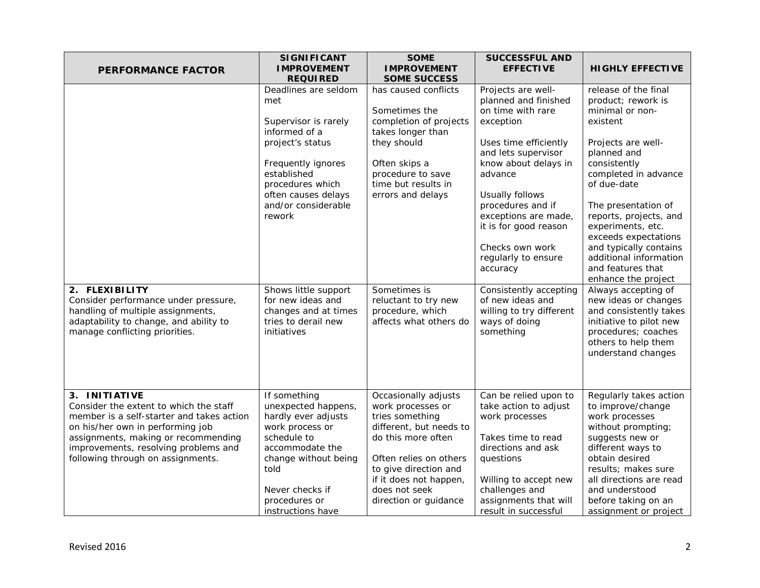| <b>PERFORMANCE FACTOR</b>                                                                                                                                                                                                                                    | <b>SIGNIFICANT</b><br><b>IMPROVEMENT</b><br><b>REQUIRED</b>                                                                                                                                               | <b>SOME</b><br><b>IMPROVEMENT</b><br><b>SOME SUCCESS</b>                                                                                                                                                                             | <b>SUCCESSFUL AND</b><br><b>EFFECTIVE</b>                                                                                                                                                                                                                                                          | <b>HIGHLY EFFECTIVE</b>                                                                                                                                                                                                                                                                                                 |
|--------------------------------------------------------------------------------------------------------------------------------------------------------------------------------------------------------------------------------------------------------------|-----------------------------------------------------------------------------------------------------------------------------------------------------------------------------------------------------------|--------------------------------------------------------------------------------------------------------------------------------------------------------------------------------------------------------------------------------------|----------------------------------------------------------------------------------------------------------------------------------------------------------------------------------------------------------------------------------------------------------------------------------------------------|-------------------------------------------------------------------------------------------------------------------------------------------------------------------------------------------------------------------------------------------------------------------------------------------------------------------------|
|                                                                                                                                                                                                                                                              | Deadlines are seldom<br>met<br>Supervisor is rarely<br>informed of a<br>project's status<br>Frequently ignores<br>established<br>procedures which<br>often causes delays<br>and/or considerable<br>rework | has caused conflicts<br>Sometimes the<br>completion of projects<br>takes longer than<br>they should<br>Often skips a<br>procedure to save<br>time but results in<br>errors and delays                                                | Projects are well-<br>planned and finished<br>on time with rare<br>exception<br>Uses time efficiently<br>and lets supervisor<br>know about delays in<br>advance<br>Usually follows<br>procedures and if<br>exceptions are made,<br>it is for good reason<br>Checks own work<br>regularly to ensure | release of the final<br>product; rework is<br>minimal or non-<br>existent<br>Projects are well-<br>planned and<br>consistently<br>completed in advance<br>of due-date<br>The presentation of<br>reports, projects, and<br>experiments, etc.<br>exceeds expectations<br>and typically contains<br>additional information |
| 2. FLEXIBILITY<br>Consider performance under pressure,<br>handling of multiple assignments,<br>adaptability to change, and ability to<br>manage conflicting priorities.                                                                                      | Shows little support<br>for new ideas and<br>changes and at times<br>tries to derail new<br>initiatives                                                                                                   | Sometimes is<br>reluctant to try new<br>procedure, which<br>affects what others do                                                                                                                                                   | accuracy<br>Consistently accepting<br>of new ideas and<br>willing to try different<br>ways of doing<br>something                                                                                                                                                                                   | and features that<br>enhance the project<br>Always accepting of<br>new ideas or changes<br>and consistently takes<br>initiative to pilot new<br>procedures; coaches<br>others to help them<br>understand changes                                                                                                        |
| 3. INITIATIVE<br>Consider the extent to which the staff<br>member is a self-starter and takes action<br>on his/her own in performing job<br>assignments, making or recommending<br>improvements, resolving problems and<br>following through on assignments. | If something<br>unexpected happens,<br>hardly ever adjusts<br>work process or<br>schedule to<br>accommodate the<br>change without being<br>told<br>Never checks if<br>procedures or<br>instructions have  | Occasionally adjusts<br>work processes or<br>tries something<br>different, but needs to<br>do this more often<br>Often relies on others<br>to give direction and<br>if it does not happen,<br>does not seek<br>direction or guidance | Can be relied upon to<br>take action to adjust<br>work processes<br>Takes time to read<br>directions and ask<br>questions<br>Willing to accept new<br>challenges and<br>assignments that will<br>result in successful                                                                              | Regularly takes action<br>to improve/change<br>work processes<br>without prompting;<br>suggests new or<br>different ways to<br>obtain desired<br>results; makes sure<br>all directions are read<br>and understood<br>before taking on an<br>assignment or project                                                       |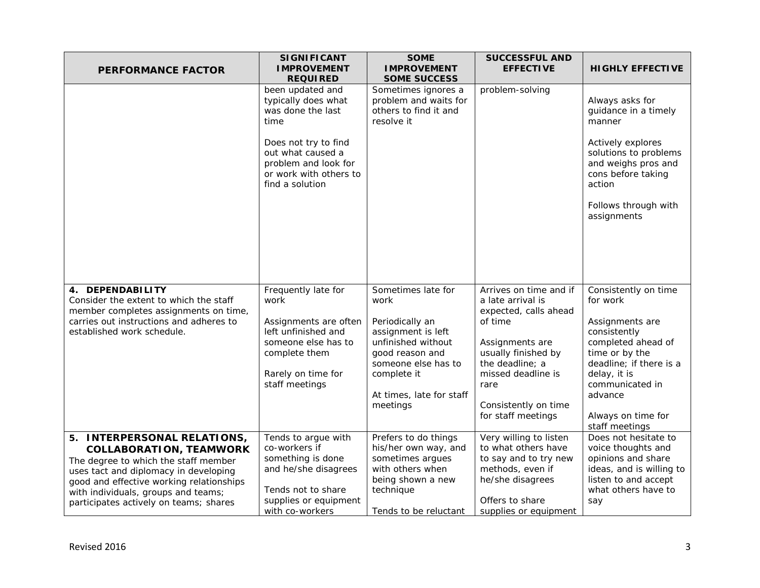| <b>PERFORMANCE FACTOR</b>                                                                                                                                                                                                                                                   | <b>SIGNIFICANT</b><br><b>IMPROVEMENT</b><br><b>REQUIRED</b>                                                                                                 | <b>SOME</b><br><b>IMPROVEMENT</b><br><b>SOME SUCCESS</b>                                                                                                                                   | <b>SUCCESSFUL AND</b><br><b>EFFECTIVE</b>                                                                                                                                                                                | <b>HIGHLY EFFECTIVE</b>                                                                                                                                                                                                      |
|-----------------------------------------------------------------------------------------------------------------------------------------------------------------------------------------------------------------------------------------------------------------------------|-------------------------------------------------------------------------------------------------------------------------------------------------------------|--------------------------------------------------------------------------------------------------------------------------------------------------------------------------------------------|--------------------------------------------------------------------------------------------------------------------------------------------------------------------------------------------------------------------------|------------------------------------------------------------------------------------------------------------------------------------------------------------------------------------------------------------------------------|
|                                                                                                                                                                                                                                                                             | been updated and<br>typically does what<br>was done the last<br>time                                                                                        | Sometimes ignores a<br>problem and waits for<br>others to find it and<br>resolve it                                                                                                        | problem-solving                                                                                                                                                                                                          | Always asks for<br>guidance in a timely<br>manner                                                                                                                                                                            |
|                                                                                                                                                                                                                                                                             | Does not try to find<br>out what caused a<br>problem and look for<br>or work with others to<br>find a solution                                              |                                                                                                                                                                                            |                                                                                                                                                                                                                          | Actively explores<br>solutions to problems<br>and weighs pros and<br>cons before taking<br>action                                                                                                                            |
|                                                                                                                                                                                                                                                                             |                                                                                                                                                             |                                                                                                                                                                                            |                                                                                                                                                                                                                          | Follows through with<br>assignments                                                                                                                                                                                          |
| 4. DEPENDABILITY<br>Consider the extent to which the staff<br>member completes assignments on time,<br>carries out instructions and adheres to<br>established work schedule.                                                                                                | Frequently late for<br>work<br>Assignments are often<br>left unfinished and<br>someone else has to<br>complete them<br>Rarely on time for<br>staff meetings | Sometimes late for<br>work<br>Periodically an<br>assignment is left<br>unfinished without<br>good reason and<br>someone else has to<br>complete it<br>At times, late for staff<br>meetings | Arrives on time and if<br>a late arrival is<br>expected, calls ahead<br>of time<br>Assignments are<br>usually finished by<br>the deadline; a<br>missed deadline is<br>rare<br>Consistently on time<br>for staff meetings | Consistently on time<br>for work<br>Assignments are<br>consistently<br>completed ahead of<br>time or by the<br>deadline; if there is a<br>delay, it is<br>communicated in<br>advance<br>Always on time for<br>staff meetings |
| 5. INTERPERSONAL RELATIONS,<br><b>COLLABORATION, TEAMWORK</b><br>The degree to which the staff member<br>uses tact and diplomacy in developing<br>good and effective working relationships<br>with individuals, groups and teams;<br>participates actively on teams; shares | Tends to argue with<br>co-workers if<br>something is done<br>and he/she disagrees<br>Tends not to share<br>supplies or equipment<br>with co-workers         | Prefers to do things<br>his/her own way, and<br>sometimes argues<br>with others when<br>being shown a new<br>technique<br>Tends to be reluctant                                            | Very willing to listen<br>to what others have<br>to say and to try new<br>methods, even if<br>he/she disagrees<br>Offers to share<br>supplies or equipment                                                               | Does not hesitate to<br>voice thoughts and<br>opinions and share<br>ideas, and is willing to<br>listen to and accept<br>what others have to<br>say                                                                           |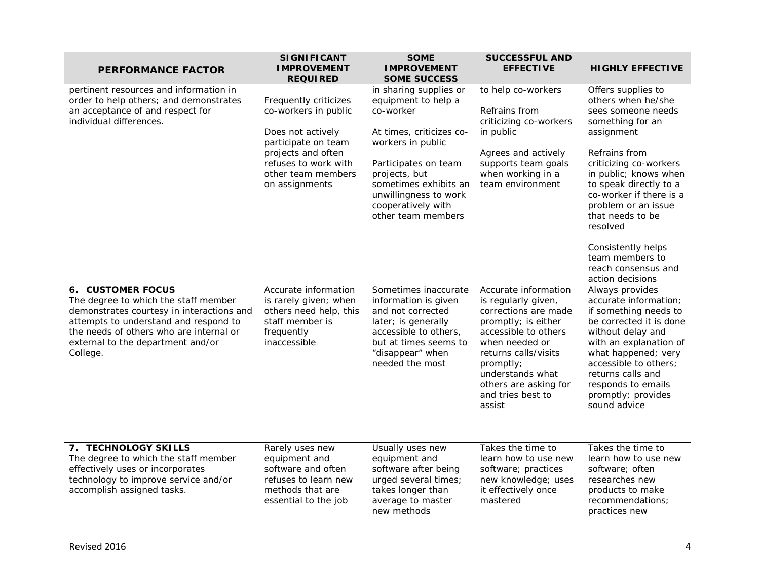| <b>PERFORMANCE FACTOR</b>                                                                                                                                                                                                                          | <b>SIGNIFICANT</b><br><b>IMPROVEMENT</b><br><b>REQUIRED</b>                                                                                                                     | <b>SOME</b><br><b>IMPROVEMENT</b><br><b>SOME SUCCESS</b>                                                                                                                                                                                           | <b>SUCCESSFUL AND</b><br><b>EFFECTIVE</b>                                                                                                                                                                                                             | <b>HIGHLY EFFECTIVE</b>                                                                                                                                                                                                                                                                                                                                              |
|----------------------------------------------------------------------------------------------------------------------------------------------------------------------------------------------------------------------------------------------------|---------------------------------------------------------------------------------------------------------------------------------------------------------------------------------|----------------------------------------------------------------------------------------------------------------------------------------------------------------------------------------------------------------------------------------------------|-------------------------------------------------------------------------------------------------------------------------------------------------------------------------------------------------------------------------------------------------------|----------------------------------------------------------------------------------------------------------------------------------------------------------------------------------------------------------------------------------------------------------------------------------------------------------------------------------------------------------------------|
| pertinent resources and information in<br>order to help others; and demonstrates<br>an acceptance of and respect for<br>individual differences.                                                                                                    | Frequently criticizes<br>co-workers in public<br>Does not actively<br>participate on team<br>projects and often<br>refuses to work with<br>other team members<br>on assignments | in sharing supplies or<br>equipment to help a<br>co-worker<br>At times, criticizes co-<br>workers in public<br>Participates on team<br>projects, but<br>sometimes exhibits an<br>unwillingness to work<br>cooperatively with<br>other team members | to help co-workers<br>Refrains from<br>criticizing co-workers<br>in public<br>Agrees and actively<br>supports team goals<br>when working in a<br>team environment                                                                                     | Offers supplies to<br>others when he/she<br>sees someone needs<br>something for an<br>assignment<br>Refrains from<br>criticizing co-workers<br>in public; knows when<br>to speak directly to a<br>co-worker if there is a<br>problem or an issue<br>that needs to be<br>resolved<br>Consistently helps<br>team members to<br>reach consensus and<br>action decisions |
| <b>6. CUSTOMER FOCUS</b><br>The degree to which the staff member<br>demonstrates courtesy in interactions and<br>attempts to understand and respond to<br>the needs of others who are internal or<br>external to the department and/or<br>College. | Accurate information<br>is rarely given; when<br>others need help, this<br>staff member is<br>frequently<br>inaccessible                                                        | Sometimes inaccurate<br>information is given<br>and not corrected<br>later; is generally<br>accessible to others,<br>but at times seems to<br>"disappear" when<br>needed the most                                                                  | Accurate information<br>is regularly given,<br>corrections are made<br>promptly; is either<br>accessible to others<br>when needed or<br>returns calls/visits<br>promptly;<br>understands what<br>others are asking for<br>and tries best to<br>assist | Always provides<br>accurate information;<br>if something needs to<br>be corrected it is done<br>without delay and<br>with an explanation of<br>what happened; very<br>accessible to others;<br>returns calls and<br>responds to emails<br>promptly; provides<br>sound advice                                                                                         |
| 7. TECHNOLOGY SKILLS<br>The degree to which the staff member<br>effectively uses or incorporates<br>technology to improve service and/or<br>accomplish assigned tasks.                                                                             | Rarely uses new<br>equipment and<br>software and often<br>refuses to learn new<br>methods that are<br>essential to the job                                                      | Usually uses new<br>equipment and<br>software after being<br>urged several times;<br>takes longer than<br>average to master<br>new methods                                                                                                         | Takes the time to<br>learn how to use new<br>software; practices<br>new knowledge; uses<br>it effectively once<br>mastered                                                                                                                            | Takes the time to<br>learn how to use new<br>software; often<br>researches new<br>products to make<br>recommendations;<br>practices new                                                                                                                                                                                                                              |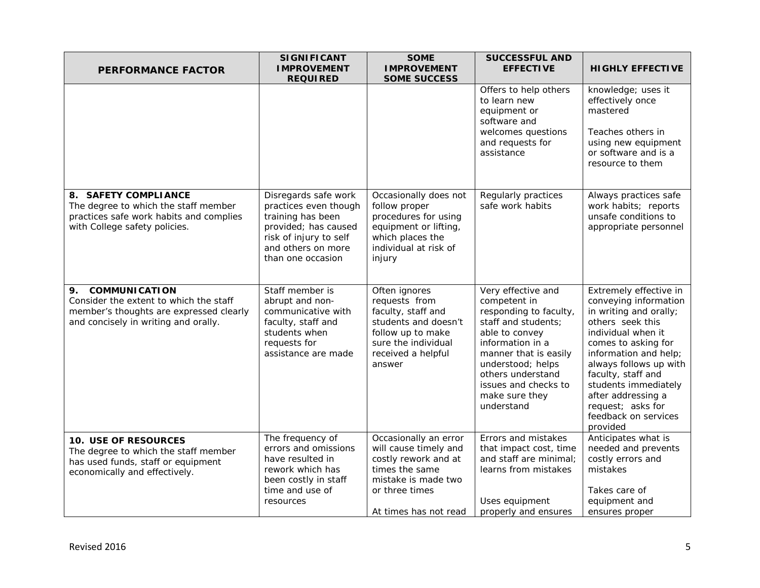| <b>PERFORMANCE FACTOR</b>                                                                                                                               | <b>SIGNIFICANT</b><br><b>IMPROVEMENT</b><br><b>REQUIRED</b>                                                                                                     | <b>SOME</b><br><b>IMPROVEMENT</b><br><b>SOME SUCCESS</b>                                                                                                   | <b>SUCCESSFUL AND</b><br><b>EFFECTIVE</b>                                                                                                                                                                                                            | <b>HIGHLY EFFECTIVE</b>                                                                                                                                                                                                                                                                                                    |
|---------------------------------------------------------------------------------------------------------------------------------------------------------|-----------------------------------------------------------------------------------------------------------------------------------------------------------------|------------------------------------------------------------------------------------------------------------------------------------------------------------|------------------------------------------------------------------------------------------------------------------------------------------------------------------------------------------------------------------------------------------------------|----------------------------------------------------------------------------------------------------------------------------------------------------------------------------------------------------------------------------------------------------------------------------------------------------------------------------|
|                                                                                                                                                         |                                                                                                                                                                 |                                                                                                                                                            | Offers to help others<br>to learn new<br>equipment or<br>software and<br>welcomes questions<br>and requests for<br>assistance                                                                                                                        | knowledge; uses it<br>effectively once<br>mastered<br>Teaches others in<br>using new equipment<br>or software and is a<br>resource to them                                                                                                                                                                                 |
| 8. SAFETY COMPLIANCE<br>The degree to which the staff member<br>practices safe work habits and complies<br>with College safety policies.                | Disregards safe work<br>practices even though<br>training has been<br>provided; has caused<br>risk of injury to self<br>and others on more<br>than one occasion | Occasionally does not<br>follow proper<br>procedures for using<br>equipment or lifting,<br>which places the<br>individual at risk of<br>injury             | Regularly practices<br>safe work habits                                                                                                                                                                                                              | Always practices safe<br>work habits; reports<br>unsafe conditions to<br>appropriate personnel                                                                                                                                                                                                                             |
| <b>COMMUNICATION</b><br>9.<br>Consider the extent to which the staff<br>member's thoughts are expressed clearly<br>and concisely in writing and orally. | Staff member is<br>abrupt and non-<br>communicative with<br>faculty, staff and<br>students when<br>requests for<br>assistance are made                          | Often ignores<br>requests from<br>faculty, staff and<br>students and doesn't<br>follow up to make<br>sure the individual<br>received a helpful<br>answer   | Very effective and<br>competent in<br>responding to faculty,<br>staff and students;<br>able to convey<br>information in a<br>manner that is easily<br>understood; helps<br>others understand<br>issues and checks to<br>make sure they<br>understand | Extremely effective in<br>conveying information<br>in writing and orally;<br>others seek this<br>individual when it<br>comes to asking for<br>information and help;<br>always follows up with<br>faculty, staff and<br>students immediately<br>after addressing a<br>request; asks for<br>feedback on services<br>provided |
| <b>10. USE OF RESOURCES</b><br>The degree to which the staff member<br>has used funds, staff or equipment<br>economically and effectively.              | The frequency of<br>errors and omissions<br>have resulted in<br>rework which has<br>been costly in staff<br>time and use of<br>resources                        | Occasionally an error<br>will cause timely and<br>costly rework and at<br>times the same<br>mistake is made two<br>or three times<br>At times has not read | Errors and mistakes<br>that impact cost, time<br>and staff are minimal;<br>learns from mistakes<br>Uses equipment<br>properly and ensures                                                                                                            | Anticipates what is<br>needed and prevents<br>costly errors and<br>mistakes<br>Takes care of<br>equipment and<br>ensures proper                                                                                                                                                                                            |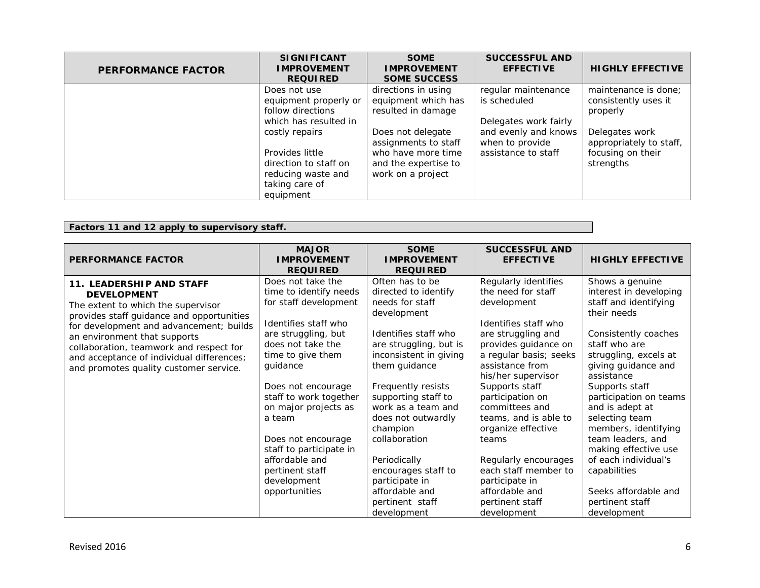| <b>PERFORMANCE FACTOR</b> | <b>SIGNIFICANT</b><br><b>IMPROVEMENT</b><br><b>REQUIRED</b>                                                     | <b>SOME</b><br><b>IMPROVEMENT</b><br><b>SOME SUCCESS</b>                                                     | <b>SUCCESSFUL AND</b><br><b>EFFECTIVE</b>                      | <b>HIGHLY EFFECTIVE</b>                                                     |
|---------------------------|-----------------------------------------------------------------------------------------------------------------|--------------------------------------------------------------------------------------------------------------|----------------------------------------------------------------|-----------------------------------------------------------------------------|
|                           | Does not use<br>equipment properly or<br>follow directions<br>which has resulted in                             | directions in using<br>equipment which has<br>resulted in damage                                             | regular maintenance<br>is scheduled<br>Delegates work fairly   | maintenance is done;<br>consistently uses it<br>properly                    |
|                           | costly repairs<br>Provides little<br>direction to staff on<br>reducing waste and<br>taking care of<br>equipment | Does not delegate<br>assignments to staff<br>who have more time<br>and the expertise to<br>work on a project | and evenly and knows<br>when to provide<br>assistance to staff | Delegates work<br>appropriately to staff,<br>focusing on their<br>strengths |

## **Factors 11 and 12 apply to supervisory staff.**

| <b>PERFORMANCE FACTOR</b>                                                                                                                                                                                                                                                                                                                      | <b>MAJOR</b><br><b>IMPROVEMENT</b><br><b>REQUIRED</b>                                                                                                                               | <b>SOME</b><br><b>IMPROVEMENT</b><br><b>REQUIRED</b>                                                                                                                        | <b>SUCCESSFUL AND</b><br><b>EFFECTIVE</b>                                                                                                                                                          | <b>HIGHLY EFFECTIVE</b>                                                                                                                                                                    |
|------------------------------------------------------------------------------------------------------------------------------------------------------------------------------------------------------------------------------------------------------------------------------------------------------------------------------------------------|-------------------------------------------------------------------------------------------------------------------------------------------------------------------------------------|-----------------------------------------------------------------------------------------------------------------------------------------------------------------------------|----------------------------------------------------------------------------------------------------------------------------------------------------------------------------------------------------|--------------------------------------------------------------------------------------------------------------------------------------------------------------------------------------------|
| 11. LEADERSHIP AND STAFF<br><b>DEVELOPMENT</b><br>The extent to which the supervisor<br>provides staff guidance and opportunities<br>for development and advancement; builds<br>an environment that supports<br>collaboration, teamwork and respect for<br>and acceptance of individual differences;<br>and promotes quality customer service. | Does not take the<br>time to identify needs<br>for staff development<br>Identifies staff who<br>are struggling, but<br>does not take the<br>time to give them<br>guidance           | Often has to be<br>directed to identify<br>needs for staff<br>development<br>Identifies staff who<br>are struggling, but is<br>inconsistent in giving<br>them guidance      | Regularly identifies<br>the need for staff<br>development<br>Identifies staff who<br>are struggling and<br>provides guidance on<br>a regular basis; seeks<br>assistance from<br>his/her supervisor | Shows a genuine<br>interest in developing<br>staff and identifying<br>their needs<br>Consistently coaches<br>staff who are<br>struggling, excels at<br>giving guidance and<br>assistance   |
|                                                                                                                                                                                                                                                                                                                                                | Does not encourage<br>staff to work together<br>on major projects as<br>a team<br>Does not encourage<br>staff to participate in<br>affordable and<br>pertinent staff<br>development | Frequently resists<br>supporting staff to<br>work as a team and<br>does not outwardly<br>champion<br>collaboration<br>Periodically<br>encourages staff to<br>participate in | Supports staff<br>participation on<br>committees and<br>teams, and is able to<br>organize effective<br>teams<br>Regularly encourages<br>each staff member to<br>participate in                     | Supports staff<br>participation on teams<br>and is adept at<br>selecting team<br>members, identifying<br>team leaders, and<br>making effective use<br>of each individual's<br>capabilities |
|                                                                                                                                                                                                                                                                                                                                                | opportunities                                                                                                                                                                       | affordable and<br>pertinent staff<br>development                                                                                                                            | affordable and<br>pertinent staff<br>development                                                                                                                                                   | Seeks affordable and<br>pertinent staff<br>development                                                                                                                                     |